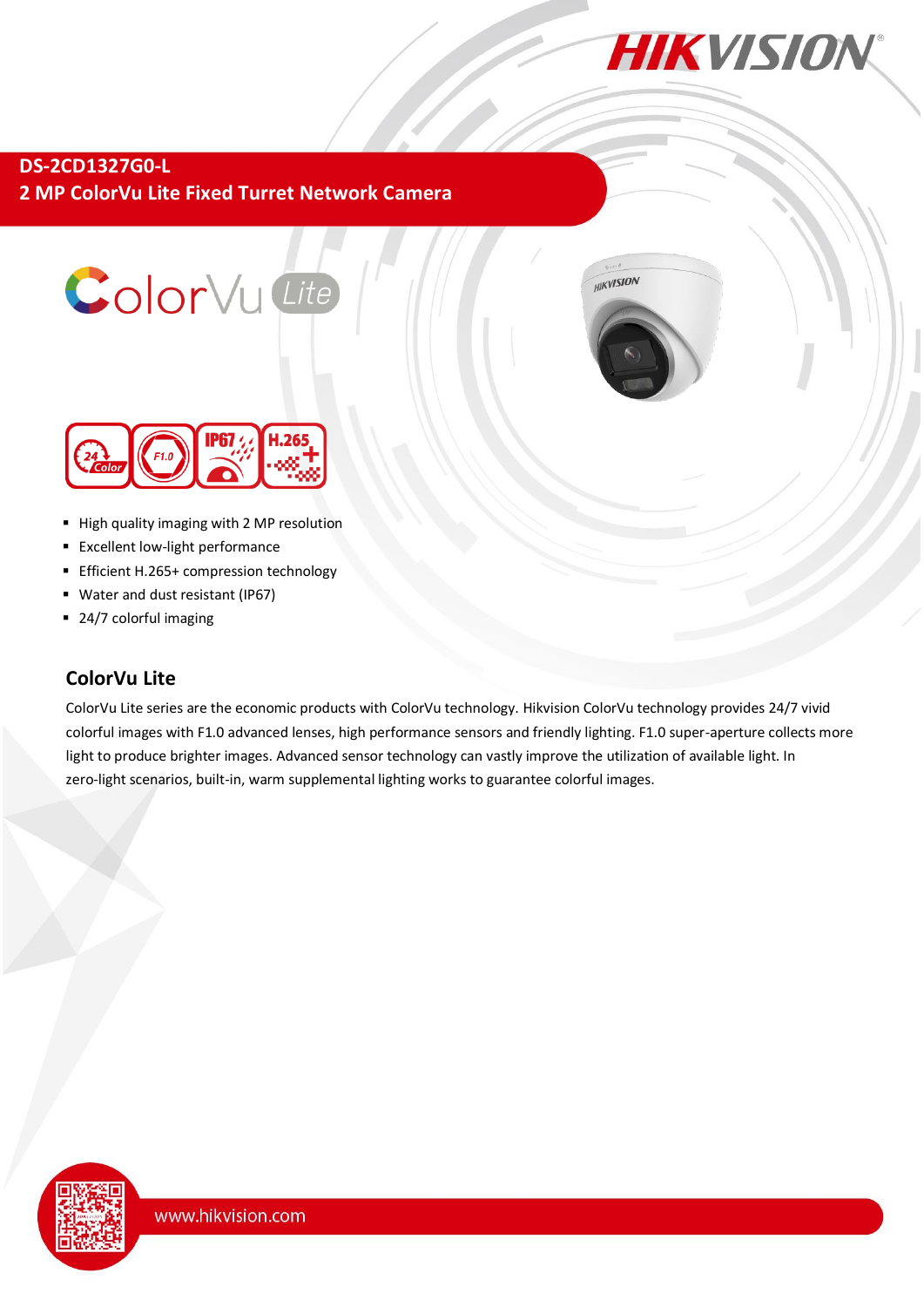

**DS-2CD1327G0-L 2 MP ColorVu Lite Fixed Turret Network Camera**







- High quality imaging with 2 MP resolution
- **Excellent low-light performance**
- Efficient H.265+ compression technology
- Water and dust resistant (IP67)
- 24/7 colorful imaging

## **ColorVu Lite**

ColorVu Lite series are the economic products with ColorVu technology. Hikvision ColorVu technology provides 24/7 vivid colorful images with F1.0 advanced lenses, high performance sensors and friendly lighting. F1.0 super-aperture collects more light to produce brighter images. Advanced sensor technology can vastly improve the utilization of available light. In zero-light scenarios, built-in, warm supplemental lighting works to guarantee colorful images.

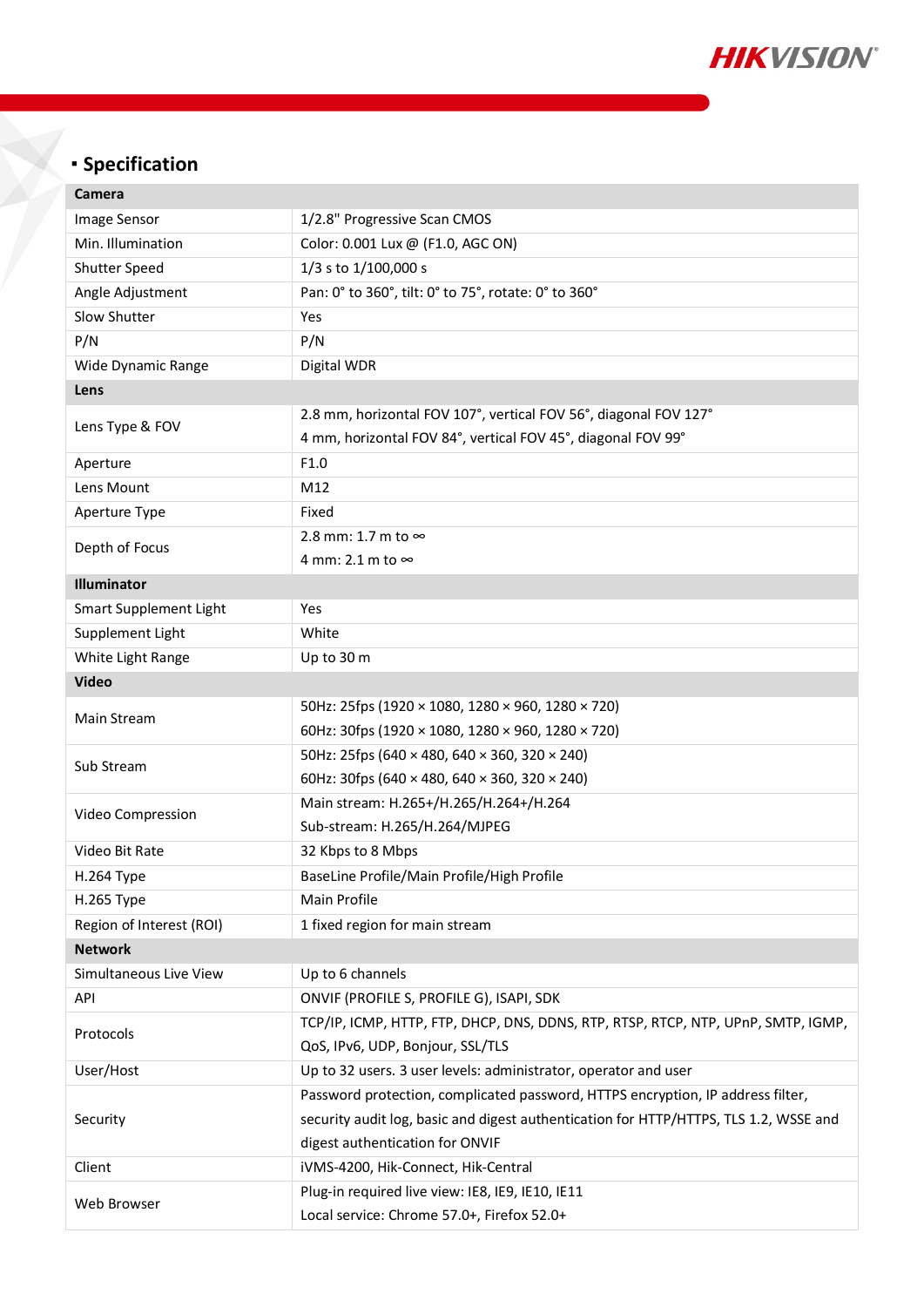

# **Specification**

| Camera                   |                                                                                       |  |
|--------------------------|---------------------------------------------------------------------------------------|--|
| Image Sensor             | 1/2.8" Progressive Scan CMOS                                                          |  |
| Min. Illumination        | Color: 0.001 Lux @ (F1.0, AGC ON)                                                     |  |
| <b>Shutter Speed</b>     | 1/3 s to 1/100,000 s                                                                  |  |
| Angle Adjustment         | Pan: 0° to 360°, tilt: 0° to 75°, rotate: 0° to 360°                                  |  |
| Slow Shutter             | Yes                                                                                   |  |
| P/N                      | P/N                                                                                   |  |
| Wide Dynamic Range       | Digital WDR                                                                           |  |
| Lens                     |                                                                                       |  |
| Lens Type & FOV          | 2.8 mm, horizontal FOV 107°, vertical FOV 56°, diagonal FOV 127°                      |  |
|                          | 4 mm, horizontal FOV 84°, vertical FOV 45°, diagonal FOV 99°                          |  |
| Aperture                 | F1.0                                                                                  |  |
| Lens Mount               | M12                                                                                   |  |
| Aperture Type            | Fixed                                                                                 |  |
| Depth of Focus           | 2.8 mm: 1.7 m to $\infty$                                                             |  |
|                          | 4 mm: 2.1 m to ∞                                                                      |  |
| <b>Illuminator</b>       |                                                                                       |  |
| Smart Supplement Light   | Yes                                                                                   |  |
| Supplement Light         | White                                                                                 |  |
| White Light Range        | Up to 30 m                                                                            |  |
| <b>Video</b>             |                                                                                       |  |
| Main Stream              | 50Hz: 25fps (1920 × 1080, 1280 × 960, 1280 × 720)                                     |  |
|                          | 60Hz: 30fps (1920 × 1080, 1280 × 960, 1280 × 720)                                     |  |
| Sub Stream               | 50Hz: 25fps (640 × 480, 640 × 360, 320 × 240)                                         |  |
|                          | 60Hz: 30fps (640 × 480, 640 × 360, 320 × 240)                                         |  |
| Video Compression        | Main stream: H.265+/H.265/H.264+/H.264                                                |  |
|                          | Sub-stream: H.265/H.264/MJPEG                                                         |  |
| Video Bit Rate           | 32 Kbps to 8 Mbps                                                                     |  |
| H.264 Type               | BaseLine Profile/Main Profile/High Profile                                            |  |
| H.265 Type               | Main Profile                                                                          |  |
| Region of Interest (ROI) | 1 fixed region for main stream                                                        |  |
| <b>Network</b>           |                                                                                       |  |
| Simultaneous Live View   | Up to 6 channels                                                                      |  |
| API                      | ONVIF (PROFILE S, PROFILE G), ISAPI, SDK                                              |  |
| Protocols                | TCP/IP, ICMP, HTTP, FTP, DHCP, DNS, DDNS, RTP, RTSP, RTCP, NTP, UPnP, SMTP, IGMP,     |  |
|                          | QoS, IPv6, UDP, Bonjour, SSL/TLS                                                      |  |
| User/Host                | Up to 32 users. 3 user levels: administrator, operator and user                       |  |
| Security                 | Password protection, complicated password, HTTPS encryption, IP address filter,       |  |
|                          | security audit log, basic and digest authentication for HTTP/HTTPS, TLS 1.2, WSSE and |  |
|                          | digest authentication for ONVIF                                                       |  |
| Client                   | iVMS-4200, Hik-Connect, Hik-Central                                                   |  |
| Web Browser              | Plug-in required live view: IE8, IE9, IE10, IE11                                      |  |
|                          | Local service: Chrome 57.0+, Firefox 52.0+                                            |  |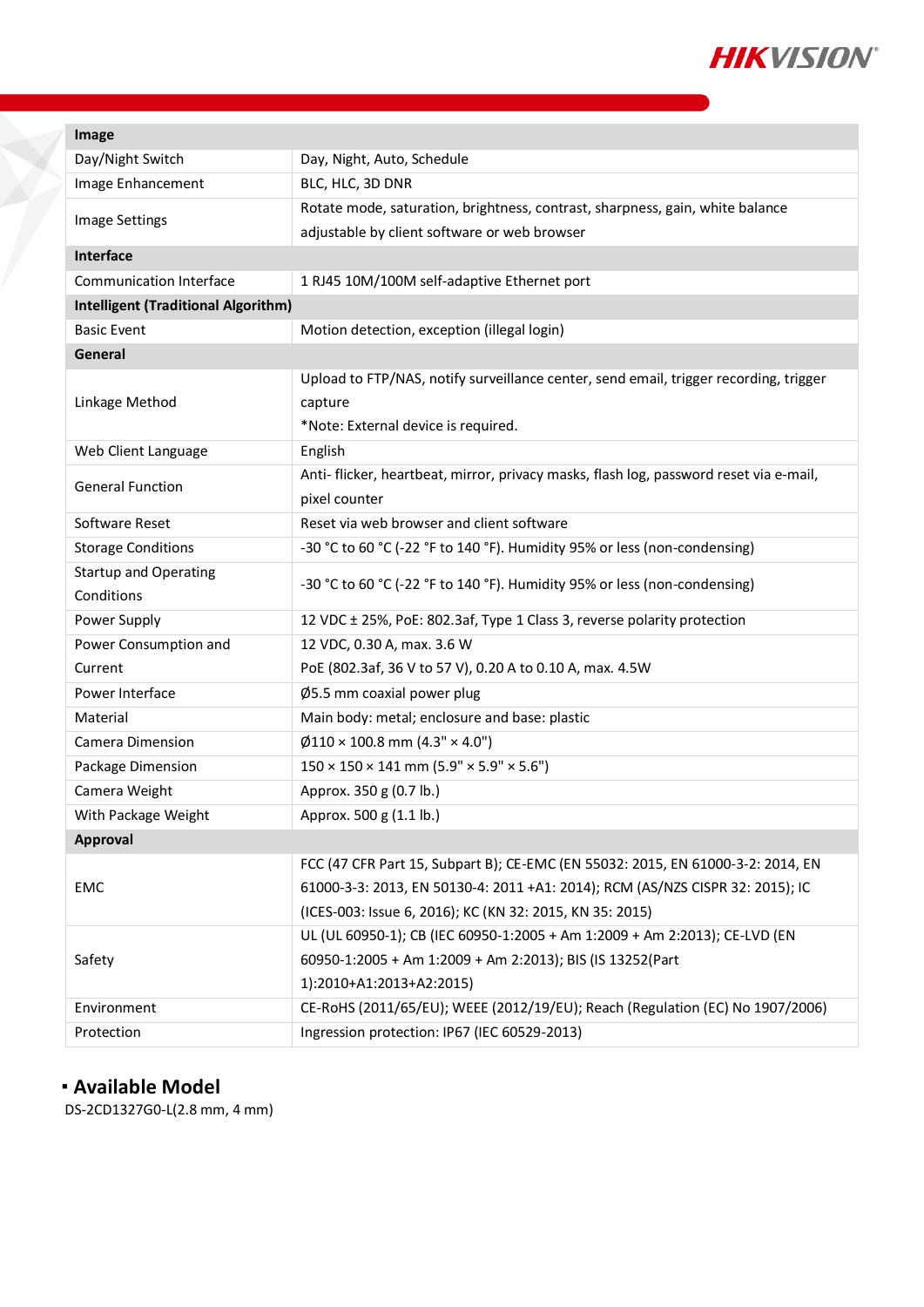

| Image                                      |                                                                                       |  |
|--------------------------------------------|---------------------------------------------------------------------------------------|--|
| Day/Night Switch                           | Day, Night, Auto, Schedule                                                            |  |
| Image Enhancement                          | BLC, HLC, 3D DNR                                                                      |  |
| <b>Image Settings</b>                      | Rotate mode, saturation, brightness, contrast, sharpness, gain, white balance         |  |
|                                            | adjustable by client software or web browser                                          |  |
| Interface                                  |                                                                                       |  |
| Communication Interface                    | 1 RJ45 10M/100M self-adaptive Ethernet port                                           |  |
| <b>Intelligent (Traditional Algorithm)</b> |                                                                                       |  |
| <b>Basic Event</b>                         | Motion detection, exception (illegal login)                                           |  |
| General                                    |                                                                                       |  |
| Linkage Method                             | Upload to FTP/NAS, notify surveillance center, send email, trigger recording, trigger |  |
|                                            | capture                                                                               |  |
|                                            | *Note: External device is required.                                                   |  |
| Web Client Language                        | English                                                                               |  |
| <b>General Function</b>                    | Anti-flicker, heartbeat, mirror, privacy masks, flash log, password reset via e-mail, |  |
|                                            | pixel counter                                                                         |  |
| Software Reset                             | Reset via web browser and client software                                             |  |
| <b>Storage Conditions</b>                  | -30 °C to 60 °C (-22 °F to 140 °F). Humidity 95% or less (non-condensing)             |  |
| <b>Startup and Operating</b>               | -30 °C to 60 °C (-22 °F to 140 °F). Humidity 95% or less (non-condensing)             |  |
| Conditions                                 |                                                                                       |  |
| Power Supply                               | 12 VDC ± 25%, PoE: 802.3af, Type 1 Class 3, reverse polarity protection               |  |
| Power Consumption and                      | 12 VDC, 0.30 A, max. 3.6 W                                                            |  |
| Current                                    | PoE (802.3af, 36 V to 57 V), 0.20 A to 0.10 A, max. 4.5W                              |  |
| Power Interface                            | Ø5.5 mm coaxial power plug                                                            |  |
| Material                                   | Main body: metal; enclosure and base: plastic                                         |  |
| Camera Dimension                           | $\varnothing$ 110 × 100.8 mm (4.3" × 4.0")                                            |  |
| Package Dimension                          | $150 \times 150 \times 141$ mm $(5.9" \times 5.9" \times 5.6")$                       |  |
| Camera Weight                              | Approx. 350 g (0.7 lb.)                                                               |  |
| With Package Weight                        | Approx. 500 g (1.1 lb.)                                                               |  |
| Approval                                   |                                                                                       |  |
| EMC                                        | FCC (47 CFR Part 15, Subpart B); CE-EMC (EN 55032: 2015, EN 61000-3-2: 2014, EN       |  |
|                                            | 61000-3-3: 2013, EN 50130-4: 2011 +A1: 2014); RCM (AS/NZS CISPR 32: 2015); IC         |  |
|                                            | (ICES-003: Issue 6, 2016); KC (KN 32: 2015, KN 35: 2015)                              |  |
| Safety                                     | UL (UL 60950-1); CB (IEC 60950-1:2005 + Am 1:2009 + Am 2:2013); CE-LVD (EN            |  |
|                                            | 60950-1:2005 + Am 1:2009 + Am 2:2013); BIS (IS 13252(Part                             |  |
|                                            | 1):2010+A1:2013+A2:2015)                                                              |  |
| Environment                                | CE-RoHS (2011/65/EU); WEEE (2012/19/EU); Reach (Regulation (EC) No 1907/2006)         |  |
| Protection                                 | Ingression protection: IP67 (IEC 60529-2013)                                          |  |
|                                            |                                                                                       |  |

## **Available Model**

DS-2CD1327G0-L(2.8 mm, 4 mm)